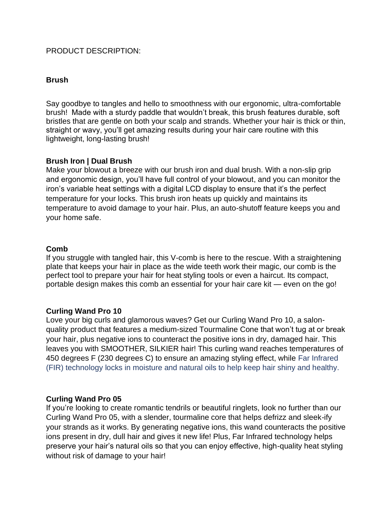## PRODUCT DESCRIPTION:

### **Brush**

Say goodbye to tangles and hello to smoothness with our ergonomic, ultra-comfortable brush! Made with a sturdy paddle that wouldn't break, this brush features durable, soft bristles that are gentle on both your scalp and strands. Whether your hair is thick or thin, straight or wavy, you'll get amazing results during your hair care routine with this [lig](https://www.donnabella.co.uk/products/brush#product-review)htweight, long-lasting brush!

## **Brush Iron | Dual Brush**

Make your blowout a breeze with our brush iron and dual brush. With a non-slip grip and ergonomic design, you'll have full control of your blowout, and you can monitor the iron's variable heat settings with a digital LCD display to ensure that it's the perfect temperature for your locks. This brush iron heats up quickly and maintains its temperature to avoid damage to your hair. Plus, an auto-shutoff feature keeps you and your home safe.

#### **Comb**

If you struggle with tangled hair, this V-comb is here to the rescue. With a straightening plate that keeps your hair in place as the wide teeth work their magic, our comb is the perfect tool to prepare your hair for heat styling tools or even a haircut. Its compact, portable design makes this comb an essential for your hair care kit — even on the go!

## **Curling Wand Pro 10**

Love your big curls and glamorous waves? Get our Curling Wand Pro 10, a salonquality product that features a medium-sized Tourmaline Cone that won't tug at or break your hair, plus negative ions to counteract the positive ions in dry, damaged hair. This leaves you with SMOOTHER, SILKIER hair! This curling wand reaches temperatures of 450 degrees F (230 degrees C) to ensure an amazing styling effect, while Far Infrared (FIR) technology locks in moisture and natural oils to help keep hair shiny and healthy.

## **Curling Wand Pro 05**

If you're looking to create romantic tendrils or beautiful ringlets, look no further than our Curling Wand Pro 05, with a slender, tourmaline core that helps defrizz and sleek-ify your strands as it works. By generating negative ions, this wand counteracts the positive ions present in dry, dull hair and gives it new life! Plus, Far Infrared technology helps preserve your hair's natural oils so that you can enjoy effective, high-quality heat styling without risk of damage to your hair!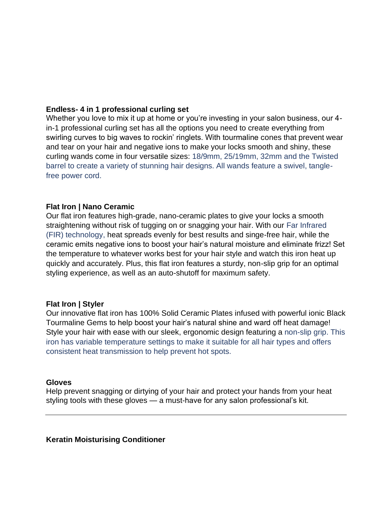### **Endless- 4 in 1 professional curling set**

Whether you love to mix it up at home or you're investing in your salon business, our 4 in-1 professional curling set has all the options you need to create everything from swirling curves to big waves to rockin' ringlets. With tourmaline cones that prevent wear and tear on your hair and negative ions to make your locks smooth and shiny, these curling wands come in four versatile sizes: 18/9mm, 25/19mm, 32mm and the Twisted barrel to create a variety of stunning hair designs. All wands feature a swivel, tanglefree power cord.

### **Flat Iron | Nano Ceramic**

Our flat iron features high-grade, nano-ceramic plates to give your locks a smooth straightening without risk of tugging on or snagging your hair. With our Far Infrared (FIR) technology, heat spreads evenly for best results and singe-free hair, while the ceramic emits negative ions to boost your hair's natural moisture and eliminate frizz! Set the temperature to whatever works best for your hair style and watch this iron heat up quickly and accurately. Plus, this flat iron features a sturdy, non-slip grip for an optimal styling experience, as well as an auto-shutoff for maximum safety.

#### **Flat Iron | Styler**

Our innovative flat iron has 100% Solid Ceramic Plates infused with powerful ionic Black Tourmaline Gems to help boost your hair's natural shine and ward off heat damage! Style your hair with ease with our sleek, ergonomic design featuring a non-slip grip. This iron has variable temperature settings to make it suitable for all hair types and offers consistent heat transmission to help prevent hot spots.

#### **Gloves**

Help prevent snagging or dirtying of your hair and protect your hands from your heat styling tools with these gloves — a must-have for any salon professional's kit.

**Keratin Moisturising Conditioner**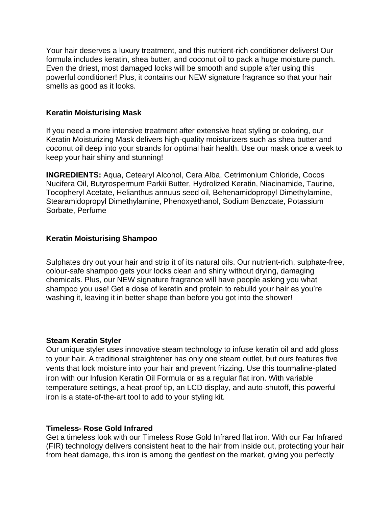Your hair deserves a luxury treatment, and this nutrient-rich conditioner delivers! Our formula includes keratin, shea butter, and coconut oil to pack a huge moisture punch. Even the driest, most damaged locks will be smooth and supple after using this powerful conditioner! Plus, it contains our NEW signature fragrance so that your hair smells as good as it looks.

### **Keratin Moisturising Mask**

If you need a more intensive treatment after extensive heat styling or coloring, our Keratin Moisturizing Mask delivers high-quality moisturizers such as shea butter and coconut oil deep into your strands for optimal hair health. Use our mask once a week to keep your hair shiny and stunning!

**INGREDIENTS:** Aqua, Cetearyl Alcohol, Cera Alba, Cetrimonium Chloride, Cocos Nucifera Oil, Butyrospermum Parkii Butter, Hydrolized Keratin, Niacinamide, Taurine, Tocopheryl Acetate, Helianthus annuus seed oil, Behenamidopropyl Dimethylamine, Stearamidopropyl Dimethylamine, Phenoxyethanol, Sodium Benzoate, Potassium Sorbate, Perfume

### **Keratin Moisturising Shampoo**

Sulphates dry out your hair and strip it of its natural oils. Our nutrient-rich, sulphate-free, colour-safe shampoo gets your locks clean and shiny without drying, damaging chemicals. Plus, our NEW signature fragrance will have people asking you what shampoo you use! Get a dose of keratin and protein to rebuild your hair as you're washing it, leaving it in better shape than before you got into the shower!

## **Steam Keratin Styler**

Our unique styler uses innovative steam technology to infuse keratin oil and add gloss to your hair. A traditional straightener has only one steam outlet, but ours features five vents that lock moisture into your hair and prevent frizzing. Use this tourmaline-plated iron with our Infusion Keratin Oil Formula or as a regular flat iron. With variable temperature settings, a heat-proof tip, an LCD display, and auto-shutoff, this powerful iron is a state-of-the-art tool to add to your styling kit.

### **Timeless- Rose Gold Infrared**

Get a timeless look with our Timeless Rose Gold Infrared flat iron. With our Far Infrared (FIR) technology delivers consistent heat to the hair from inside out, protecting your hair from heat damage, this iron is among the gentlest on the market, giving you perfectly